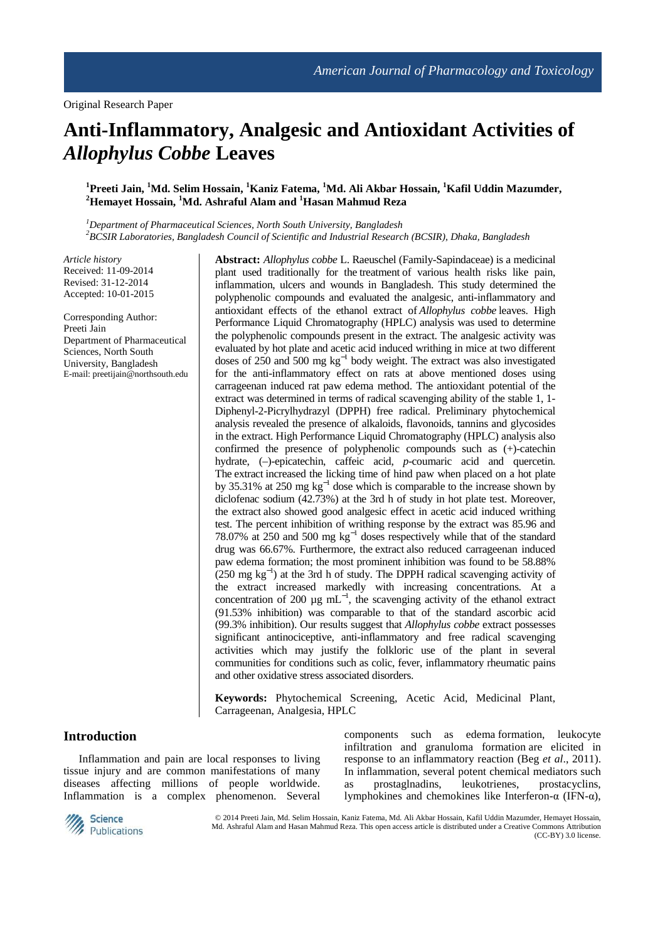# **Anti-Inflammatory, Analgesic and Antioxidant Activities of**  *Allophylus Cobbe* **Leaves**

# **<sup>1</sup>Preeti Jain, <sup>1</sup>Md. Selim Hossain, <sup>1</sup>Kaniz Fatema, <sup>1</sup>Md. Ali Akbar Hossain, <sup>1</sup>Kafil Uddin Mazumder, <sup>2</sup>Hemayet Hossain, <sup>1</sup>Md. Ashraful Alam and <sup>1</sup>Hasan Mahmud Reza**

*<sup>1</sup>Department of Pharmaceutical Sciences, North South University, Bangladesh <sup>2</sup>BCSIR Laboratories, Bangladesh Council of Scientific and Industrial Research (BCSIR), Dhaka, Bangladesh*

*Article history*  Received: 11-09-2014 Revised: 31-12-2014 Accepted: 10-01-2015

Corresponding Author: Preeti Jain Department of Pharmaceutical Sciences, North South University, Bangladesh E-mail: preetijain@northsouth.edu **Abstract:** *Allophylus cobbe* L. Raeuschel (Family-Sapindaceae) is a medicinal plant used traditionally for the treatment of various health risks like pain, inflammation, ulcers and wounds in Bangladesh. This study determined the polyphenolic compounds and evaluated the analgesic, anti-inflammatory and antioxidant effects of the ethanol extract of *Allophylus cobbe* leaves. High Performance Liquid Chromatography (HPLC) analysis was used to determine the polyphenolic compounds present in the extract. The analgesic activity was evaluated by hot plate and acetic acid induced writhing in mice at two different doses of 250 and 500 mg kg<sup>-1</sup> body weight. The extract was also investigated for the anti-inflammatory effect on rats at above mentioned doses using carrageenan induced rat paw edema method. The antioxidant potential of the extract was determined in terms of radical scavenging ability of the stable 1, 1- Diphenyl-2-Picrylhydrazyl (DPPH) free radical. Preliminary phytochemical analysis revealed the presence of alkaloids, flavonoids, tannins and glycosides in the extract. High Performance Liquid Chromatography (HPLC) analysis also confirmed the presence of polyphenolic compounds such as (+)-catechin hydrate, (-)-epicatechin, caffeic acid, *p*-coumaric acid and quercetin. The extract increased the licking time of hind paw when placed on a hot plate by 35.31% at 250 mg kg<sup>-1</sup> dose which is comparable to the increase shown by diclofenac sodium (42.73%) at the 3rd h of study in hot plate test. Moreover, the extract also showed good analgesic effect in acetic acid induced writhing test. The percent inhibition of writhing response by the extract was 85.96 and 78.07% at 250 and 500 mg kg<sup>-1</sup> doses respectively while that of the standard drug was 66.67%. Furthermore, the extract also reduced carrageenan induced paw edema formation; the most prominent inhibition was found to be 58.88%  $(250 \text{ mg kg}^{-1})$  at the 3rd h of study. The DPPH radical scavenging activity of the extract increased markedly with increasing concentrations. At a concentration of 200  $\mu$ g mL<sup>-1</sup>, the scavenging activity of the ethanol extract (91.53% inhibition) was comparable to that of the standard ascorbic acid (99.3% inhibition). Our results suggest that *Allophylus cobbe* extract possesses significant antinociceptive, anti-inflammatory and free radical scavenging activities which may justify the folkloric use of the plant in several communities for conditions such as colic, fever, inflammatory rheumatic pains and other oxidative stress associated disorders.

**Keywords:** Phytochemical Screening, Acetic Acid, Medicinal Plant, Carrageenan, Analgesia, HPLC

# **Introduction**

Inflammation and pain are local responses to living tissue injury and are common manifestations of many diseases affecting millions of people worldwide. Inflammation is a complex phenomenon. Several components such as edema formation, leukocyte infiltration and granuloma formation are elicited in response to an inflammatory reaction (Beg *et al*., 2011). In inflammation, several potent chemical mediators such as prostaglnadins, leukotrienes, prostacyclins, lymphokines and chemokines like Interferon-α (IFN-α),



© 2014 Preeti Jain, Md. Selim Hossain, Kaniz Fatema, Md. Ali Akbar Hossain, Kafil Uddin Mazumder, Hemayet Hossain, Md. Ashraful Alam and Hasan Mahmud Reza. This open access article is distributed under a Creative Commons Attribution (CC-BY) 3.0 license.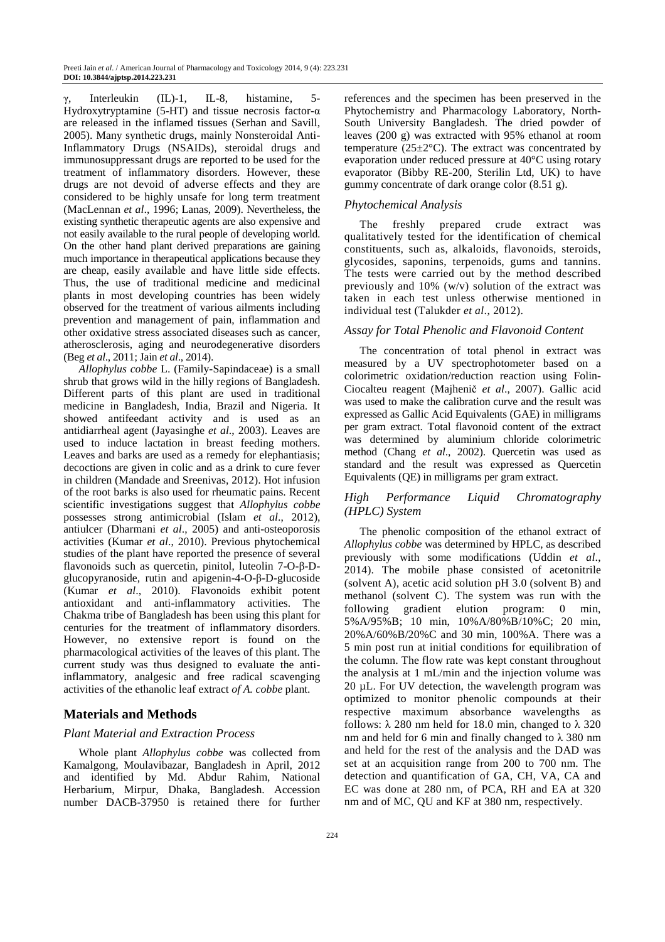Interleukin (IL)-1, IL-8, histamine, 5-Hydroxytryptamine (5-HT) and tissue necrosis factor- $\alpha$ are released in the inflamed tissues (Serhan and Savill, 2005). Many synthetic drugs, mainly Nonsteroidal Anti-Inflammatory Drugs (NSAIDs), steroidal drugs and immunosuppressant drugs are reported to be used for the treatment of inflammatory disorders. However, these drugs are not devoid of adverse effects and they are considered to be highly unsafe for long term treatment (MacLennan *et al*., 1996; Lanas, 2009). Nevertheless, the existing synthetic therapeutic agents are also expensive and not easily available to the rural people of developing world. On the other hand plant derived preparations are gaining much importance in therapeutical applications because they are cheap, easily available and have little side effects. Thus, the use of traditional medicine and medicinal plants in most developing countries has been widely observed for the treatment of various ailments including prevention and management of pain, inflammation and other oxidative stress associated diseases such as cancer, atherosclerosis, aging and neurodegenerative disorders (Beg *et al*., 2011; Jain *et al*., 2014).

*Allophylus cobbe* L. (Family-Sapindaceae) is a small shrub that grows wild in the hilly regions of Bangladesh. Different parts of this plant are used in traditional medicine in Bangladesh, India, Brazil and Nigeria. It showed antifeedant activity and is used as an antidiarrheal agent (Jayasinghe *et al*., 2003). Leaves are used to induce lactation in breast feeding mothers. Leaves and barks are used as a remedy for elephantiasis; decoctions are given in colic and as a drink to cure fever in children (Mandade and Sreenivas, 2012). Hot infusion of the root barks is also used for rheumatic pains. Recent scientific investigations suggest that *Allophylus cobbe*  possesses strong antimicrobial (Islam *et al*., 2012), antiulcer (Dharmani *et al*., 2005) and anti-osteoporosis activities (Kumar *et al*., 2010). Previous phytochemical studies of the plant have reported the presence of several flavonoids such as quercetin, pinitol, luteolin 7-O-β-Dglucopyranoside, rutin and apigenin-4-O-β-D-glucoside (Kumar *et al*., 2010). Flavonoids exhibit potent antioxidant and anti-inflammatory activities. The Chakma tribe of Bangladesh has been using this plant for centuries for the treatment of inflammatory disorders. However, no extensive report is found on the pharmacological activities of the leaves of this plant. The current study was thus designed to evaluate the antiinflammatory, analgesic and free radical scavenging activities of the ethanolic leaf extract *of A. cobbe* plant.

# **Materials and Methods**

## *Plant Material and Extraction Process*

Whole plant *Allophylus cobbe* was collected from Kamalgong, Moulavibazar, Bangladesh in April, 2012 and identified by Md. Abdur Rahim, National Herbarium, Mirpur, Dhaka, Bangladesh. Accession number DACB-37950 is retained there for further

references and the specimen has been preserved in the Phytochemistry and Pharmacology Laboratory, North-South University Bangladesh. The dried powder of leaves (200 g) was extracted with 95% ethanol at room temperature ( $25\pm2$ °C). The extract was concentrated by evaporation under reduced pressure at 40°C using rotary evaporator (Bibby RE-200, Sterilin Ltd, UK) to have gummy concentrate of dark orange color (8.51 g).

## *Phytochemical Analysis*

The freshly prepared crude extract was qualitatively tested for the identification of chemical constituents, such as, alkaloids, flavonoids, steroids, glycosides, saponins, terpenoids, gums and tannins. The tests were carried out by the method described previously and 10% (w/v) solution of the extract was taken in each test unless otherwise mentioned in individual test (Talukder *et al*., 2012).

#### *Assay for Total Phenolic and Flavonoid Content*

The concentration of total phenol in extract was measured by a UV spectrophotometer based on a colorimetric oxidation/reduction reaction using Folin-Ciocalteu reagent (Majhenič *et al*., 2007). Gallic acid was used to make the calibration curve and the result was expressed as Gallic Acid Equivalents (GAE) in milligrams per gram extract. Total flavonoid content of the extract was determined by aluminium chloride colorimetric method (Chang *et al*., 2002). Quercetin was used as standard and the result was expressed as Quercetin Equivalents (QE) in milligrams per gram extract.

# *High Performance Liquid Chromatography (HPLC) System*

The phenolic composition of the ethanol extract of *Allophylus cobbe* was determined by HPLC, as described previously with some modifications (Uddin *et al*., 2014). The mobile phase consisted of acetonitrile (solvent A), acetic acid solution pH 3.0 (solvent B) and methanol (solvent C). The system was run with the following gradient elution program: 0 min, 5%A/95%B; 10 min, 10%A/80%B/10%C; 20 min, 20%A/60%B/20%C and 30 min, 100%A. There was a 5 min post run at initial conditions for equilibration of the column. The flow rate was kept constant throughout the analysis at 1 mL/min and the injection volume was 20 µL. For UV detection, the wavelength program was optimized to monitor phenolic compounds at their respective maximum absorbance wavelengths as follows:  $\lambda$  280 nm held for 18.0 min, changed to  $\lambda$  320 nm and held for 6 min and finally changed to  $\lambda$  380 nm and held for the rest of the analysis and the DAD was set at an acquisition range from 200 to 700 nm. The detection and quantification of GA, CH, VA, CA and EC was done at 280 nm, of PCA, RH and EA at 320 nm and of MC, QU and KF at 380 nm, respectively.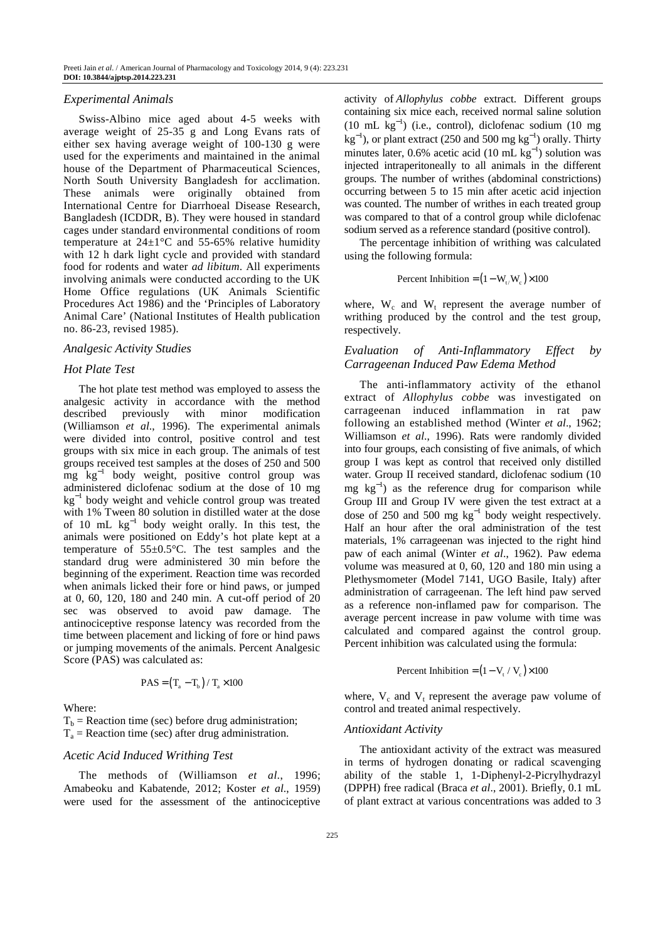#### *Experimental Animals*

Swiss-Albino mice aged about 4-5 weeks with average weight of 25-35 g and Long Evans rats of either sex having average weight of 100-130 g were used for the experiments and maintained in the animal house of the Department of Pharmaceutical Sciences, North South University Bangladesh for acclimation. These animals were originally obtained from International Centre for Diarrhoeal Disease Research, Bangladesh (ICDDR, B). They were housed in standard cages under standard environmental conditions of room temperature at  $24\pm1\degree C$  and 55-65% relative humidity with 12 h dark light cycle and provided with standard food for rodents and water *ad libitum*. All experiments involving animals were conducted according to the UK Home Office regulations (UK Animals Scientific Procedures Act 1986) and the 'Principles of Laboratory Animal Care' (National Institutes of Health publication no. 86-23, revised 1985).

## *Analgesic Activity Studies*

#### *Hot Plate Test*

The hot plate test method was employed to assess the analgesic activity in accordance with the method described previously with minor modification (Williamson *et al*., 1996). The experimental animals were divided into control, positive control and test groups with six mice in each group. The animals of test groups received test samples at the doses of 250 and 500 mg kg<sup>−</sup><sup>1</sup> body weight, positive control group was administered diclofenac sodium at the dose of 10 mg kg<sup>−</sup><sup>1</sup> body weight and vehicle control group was treated with 1% Tween 80 solution in distilled water at the dose of 10 mL  $kg^{-1}$  body weight orally. In this test, the animals were positioned on Eddy's hot plate kept at a temperature of 55±0.5°C. The test samples and the standard drug were administered 30 min before the beginning of the experiment. Reaction time was recorded when animals licked their fore or hind paws, or jumped at 0, 60, 120, 180 and 240 min. A cut-off period of 20 sec was observed to avoid paw damage. The antinociceptive response latency was recorded from the time between placement and licking of fore or hind paws or jumping movements of the animals. Percent Analgesic Score (PAS) was calculated as:

$$
PAS = (T_a - T_b) / T_a \times 100
$$

#### Where:

 $T<sub>b</sub>$  = Reaction time (sec) before drug administration;  $T_a$  = Reaction time (sec) after drug administration.

## *Acetic Acid Induced Writhing Test*

The methods of (Williamson *et al*., 1996; Amabeoku and Kabatende, 2012; Koster *et al*., 1959) were used for the assessment of the antinociceptive activity of *Allophylus cobbe* extract. Different groups containing six mice each, received normal saline solution (10 mL kg<sup>−</sup><sup>1</sup> ) (i.e., control), diclofenac sodium (10 mg  $kg^{-1}$ ), or plant extract (250 and 500 mg  $kg^{-1}$ ) orally. Thirty minutes later, 0.6% acetic acid (10 mL  $kg^{-1}$ ) solution was injected intraperitoneally to all animals in the different groups. The number of writhes (abdominal constrictions) occurring between 5 to 15 min after acetic acid injection was counted. The number of writhes in each treated group was compared to that of a control group while diclofenac sodium served as a reference standard (positive control).

The percentage inhibition of writhing was calculated using the following formula:

Percent Inhibition = 
$$
(1 - W_{t}/W_c) \times 100
$$

where,  $W_c$  and  $W_t$  represent the average number of writhing produced by the control and the test group, respectively.

# *Evaluation of Anti-Inflammatory Effect by Carrageenan Induced Paw Edema Method*

The anti-inflammatory activity of the ethanol extract of *Allophylus cobbe* was investigated on carrageenan induced inflammation in rat paw following an established method (Winter *et al*., 1962; Williamson *et al*., 1996). Rats were randomly divided into four groups, each consisting of five animals, of which group I was kept as control that received only distilled water. Group II received standard, diclofenac sodium (10 mg kg<sup>-1</sup>) as the reference drug for comparison while Group III and Group IV were given the test extract at a dose of 250 and 500 mg  $kg^{-1}$  body weight respectively. Half an hour after the oral administration of the test materials, 1% carrageenan was injected to the right hind paw of each animal (Winter *et al*., 1962). Paw edema volume was measured at 0, 60, 120 and 180 min using a Plethysmometer (Model 7141, UGO Basile, Italy) after administration of carrageenan. The left hind paw served as a reference non-inflamed paw for comparison. The average percent increase in paw volume with time was calculated and compared against the control group. Percent inhibition was calculated using the formula:

Percent Inhibition = 
$$
(1 - V_t / V_c) \times 100
$$

where,  $V_c$  and  $V_t$  represent the average paw volume of control and treated animal respectively.

#### *Antioxidant Activity*

The antioxidant activity of the extract was measured in terms of hydrogen donating or radical scavenging ability of the stable 1, 1-Diphenyl-2-Picrylhydrazyl (DPPH) free radical (Braca *et al*., 2001). Briefly, 0.1 mL of plant extract at various concentrations was added to 3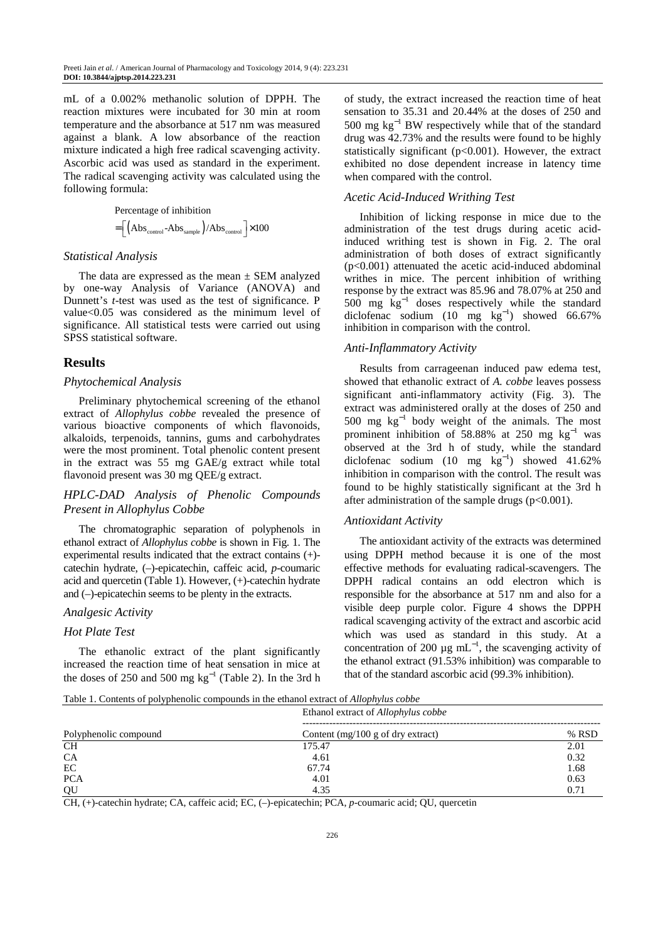mL of a 0.002% methanolic solution of DPPH. The reaction mixtures were incubated for 30 min at room temperature and the absorbance at 517 nm was measured against a blank. A low absorbance of the reaction mixture indicated a high free radical scavenging activity. Ascorbic acid was used as standard in the experiment. The radical scavenging activity was calculated using the following formula:

> $=\left[\left( \rm{Abs}_{\rm{control}}\text{-} \rm{Abs}_{\rm{sample}}\right)/\rm{Abs}_{\rm{control}}\right]\times100$ Percentage of inhibition

#### *Statistical Analysis*

The data are expressed as the mean  $\pm$  SEM analyzed by one-way Analysis of Variance (ANOVA) and Dunnett's *t*-test was used as the test of significance. P value<0.05 was considered as the minimum level of significance. All statistical tests were carried out using SPSS statistical software.

# **Results**

#### *Phytochemical Analysis*

Preliminary phytochemical screening of the ethanol extract of *Allophylus cobbe* revealed the presence of various bioactive components of which flavonoids, alkaloids, terpenoids, tannins, gums and carbohydrates were the most prominent. Total phenolic content present in the extract was 55 mg GAE/g extract while total flavonoid present was 30 mg QEE/g extract.

# *HPLC-DAD Analysis of Phenolic Compounds Present in Allophylus Cobbe*

The chromatographic separation of polyphenols in ethanol extract of *Allophylus cobbe* is shown in Fig. 1. The experimental results indicated that the extract contains (+) catechin hydrate, (–)-epicatechin, caffeic acid, *p*-coumaric acid and quercetin (Table 1). However, (+)-catechin hydrate and (–)-epicatechin seems to be plenty in the extracts.

### *Analgesic Activity*

## *Hot Plate Test*

The ethanolic extract of the plant significantly increased the reaction time of heat sensation in mice at the doses of 250 and 500 mg  $kg^{-1}$  (Table 2). In the 3rd h of study, the extract increased the reaction time of heat sensation to 35.31 and 20.44% at the doses of 250 and 500 mg kg<sup>-1</sup> BW respectively while that of the standard drug was 42.73% and the results were found to be highly statistically significant  $(p<0.001)$ . However, the extract exhibited no dose dependent increase in latency time when compared with the control.

#### *Acetic Acid-Induced Writhing Test*

Inhibition of licking response in mice due to the administration of the test drugs during acetic acidinduced writhing test is shown in Fig. 2. The oral administration of both doses of extract significantly  $(p<0.001)$  attenuated the acetic acid-induced abdominal writhes in mice. The percent inhibition of writhing response by the extract was 85.96 and 78.07% at 250 and  $500 \text{ mg} \text{ kg}^{-1}$  doses respectively while the standard diclofenac sodium  $(10 \text{ mg kg}^{-1})$  showed 66.67% inhibition in comparison with the control.

## *Anti-Inflammatory Activity*

Results from carrageenan induced paw edema test, showed that ethanolic extract of *A. cobbe* leaves possess significant anti-inflammatory activity (Fig. 3). The extract was administered orally at the doses of 250 and 500 mg  $kg^{-1}$  body weight of the animals. The most prominent inhibition of 58.88% at 250 mg  $kg^{-1}$  was observed at the 3rd h of study, while the standard diclofenac sodium  $(10 \text{ mg kg}^{-1})$  showed 41.62% inhibition in comparison with the control. The result was found to be highly statistically significant at the 3rd h after administration of the sample drugs  $(p<0.001)$ .

#### *Antioxidant Activity*

The antioxidant activity of the extracts was determined using DPPH method because it is one of the most effective methods for evaluating radical-scavengers. The DPPH radical contains an odd electron which is responsible for the absorbance at 517 nm and also for a visible deep purple color. Figure 4 shows the DPPH radical scavenging activity of the extract and ascorbic acid which was used as standard in this study. At a concentration of 200  $\mu$ g mL<sup>-1</sup>, the scavenging activity of the ethanol extract (91.53% inhibition) was comparable to that of the standard ascorbic acid (99.3% inhibition).

Table 1. Contents of polyphenolic compounds in the ethanol extract of *Allophylus cobbe*

| Polyphenolic compound | Ethanol extract of Allophylus cobbe |       |  |  |
|-----------------------|-------------------------------------|-------|--|--|
|                       | Content $(mg/100 g$ of dry extract) | % RSD |  |  |
| <b>CH</b>             | 175.47                              | 2.01  |  |  |
| <b>CA</b>             | 4.61                                | 0.32  |  |  |
| EC                    | 67.74                               | 1.68  |  |  |
| <b>PCA</b>            | 4.01                                | 0.63  |  |  |
| QU                    | 4.35                                | 0.71  |  |  |

CH, (+)-catechin hydrate; CA, caffeic acid; EC, (–)-epicatechin; PCA, *p*-coumaric acid; QU, quercetin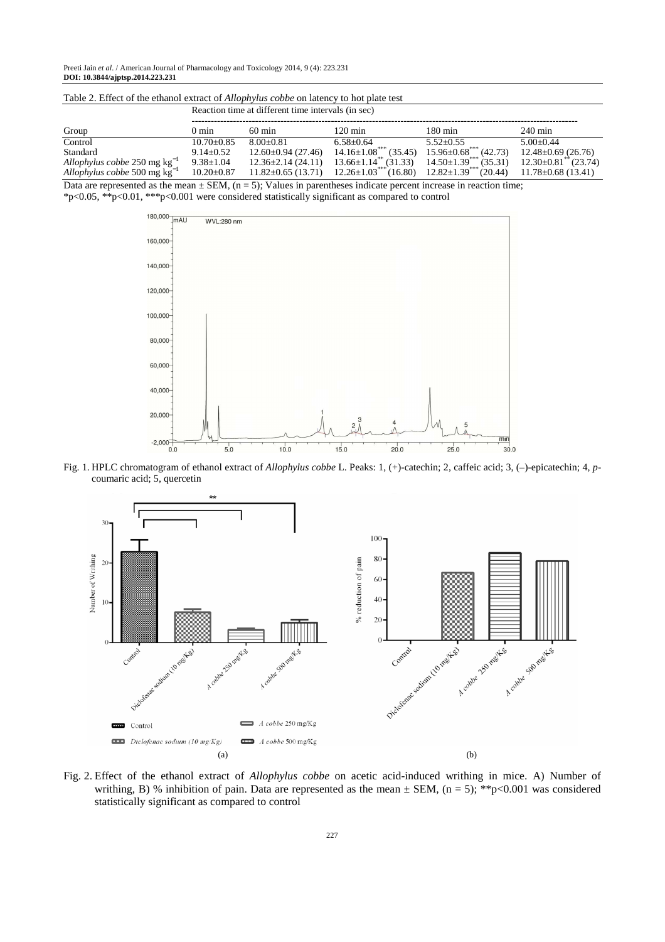Preeti Jain *et al*. / American Journal of Pharmacology and Toxicology 2014, 9 (4): 223.231 **DOI: 10.3844/ajptsp.2014.223.231** 

| Table 2. Effect of the ethanol extract of <i>Allophylus cobbe</i> on latency to hot plate test |  |  |  |  |
|------------------------------------------------------------------------------------------------|--|--|--|--|
| Reaction time at different time intervals (in sec)                                             |  |  |  |  |

| Group                             | () min           | $60 \text{ min}$         | 120 min                                 | $180 \text{ min}$               | $240 \text{ min}$                   |
|-----------------------------------|------------------|--------------------------|-----------------------------------------|---------------------------------|-------------------------------------|
| Control                           | $10.70 \pm 0.85$ | $8.00 + 0.81$            | $6.58 + 0.64$                           | $5.52+0.55$                     | $5.00+0.44$                         |
| Standard                          | $9.14 \pm 0.52$  | $12.60 \pm 0.94$ (27.46) | $14.16 \pm 1.08$ <sup>***</sup> (35.45) | $15.96 \pm 0.68$ ***<br>(42.73) | $12.48 \pm 0.69$ (26.76)            |
| Allophylus cobbe 250 mg $kg^{-1}$ | $9.38 \pm 1.04$  | $12.36 \pm 2.14(24.11)$  | $13.66 \pm 1.14$ **<br>(31.33)          | $14.50 \pm 1.39$ ***<br>(35.31) | $12.30\pm0.81$ <sup>*</sup> (23.74) |
| Allophylus cobbe 500 mg $kg^{-1}$ | $10.20 \pm 0.87$ | $11.82 \pm 0.65$ (13.71) | $12.26 \pm 1.03$ ***<br>(16.80)         | $12.82 \pm 1.39$<br>(20.44)     | $11.78 \pm 0.68$ (13.41)            |

Data are represented as the mean  $\pm$  SEM, (n = 5); Values in parentheses indicate percent increase in reaction time; \*p<0.05, \*\*p<0.01, \*\*\*p<0.001 were considered statistically significant as compared to control



Fig. 1. HPLC chromatogram of ethanol extract of *Allophylus cobbe* L. Peaks: 1, (+)-catechin; 2, caffeic acid; 3, (–)-epicatechin; 4, *p*coumaric acid; 5, quercetin



Fig. 2. Effect of the ethanol extract of *Allophylus cobbe* on acetic acid-induced writhing in mice. A) Number of writhing, B) % inhibition of pain. Data are represented as the mean  $\pm$  SEM, (n = 5); \*\*p<0.001 was considered statistically significant as compared to control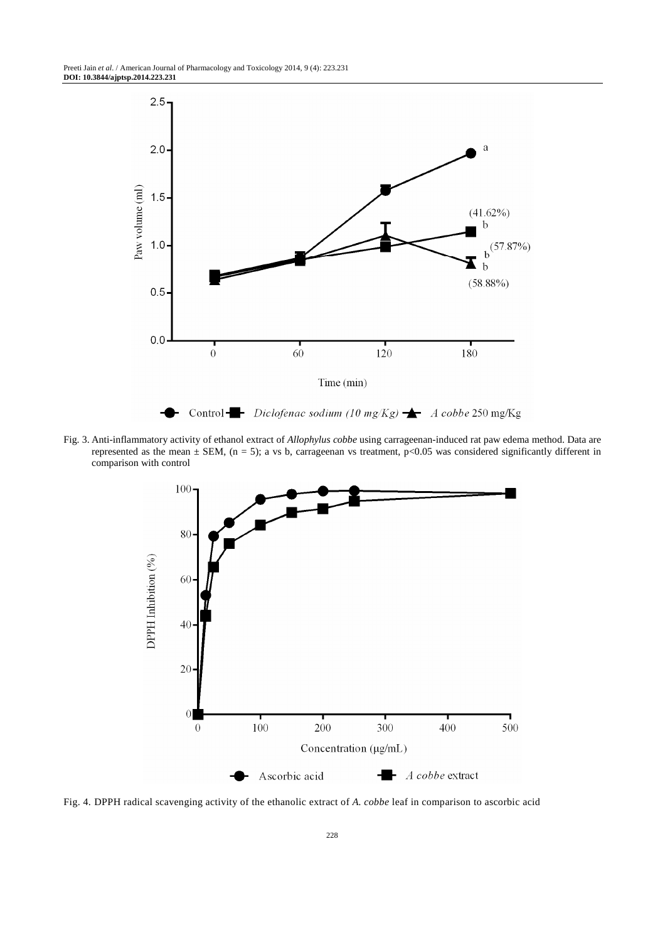

Fig. 3. Anti-inflammatory activity of ethanol extract of *Allophylus cobbe* using carrageenan-induced rat paw edema method. Data are represented as the mean  $\pm$  SEM, (n = 5); a vs b, carrageenan vs treatment, p<0.05 was considered significantly different in comparison with control



Fig. 4. DPPH radical scavenging activity of the ethanolic extract of *A. cobbe* leaf in comparison to ascorbic acid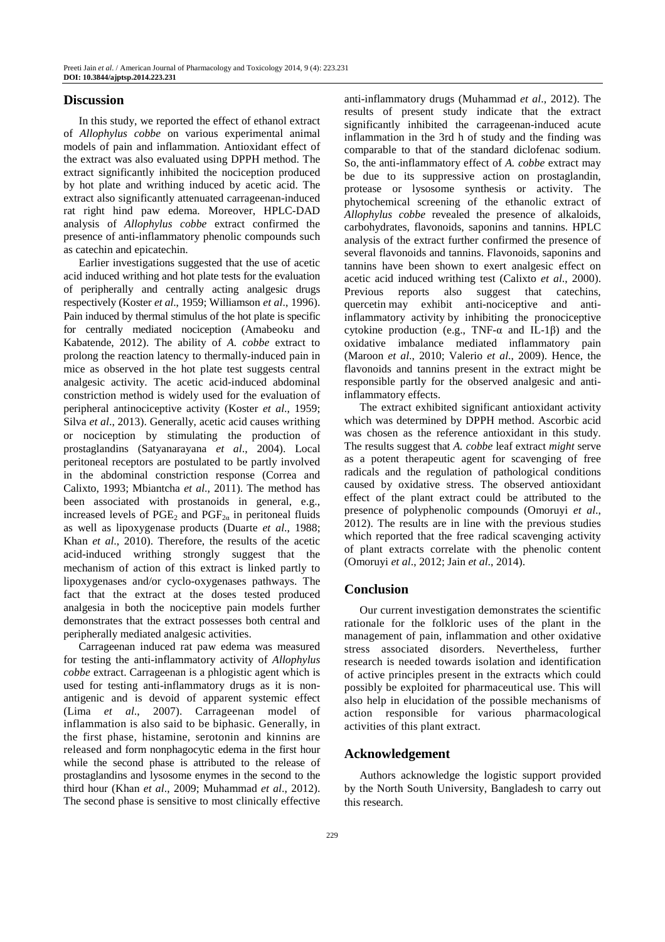## **Discussion**

In this study, we reported the effect of ethanol extract of *Allophylus cobbe* on various experimental animal models of pain and inflammation. Antioxidant effect of the extract was also evaluated using DPPH method. The extract significantly inhibited the nociception produced by hot plate and writhing induced by acetic acid. The extract also significantly attenuated carrageenan-induced rat right hind paw edema. Moreover, HPLC-DAD analysis of *Allophylus cobbe* extract confirmed the presence of anti-inflammatory phenolic compounds such as catechin and epicatechin.

Earlier investigations suggested that the use of acetic acid induced writhing and hot plate tests for the evaluation of peripherally and centrally acting analgesic drugs respectively (Koster *et al*., 1959; Williamson *et al*., 1996). Pain induced by thermal stimulus of the hot plate is specific for centrally mediated nociception (Amabeoku and Kabatende, 2012). The ability of *A. cobbe* extract to prolong the reaction latency to thermally-induced pain in mice as observed in the hot plate test suggests central analgesic activity. The acetic acid-induced abdominal constriction method is widely used for the evaluation of peripheral antinociceptive activity (Koster *et al*., 1959; Silva *et al*., 2013). Generally, acetic acid causes writhing or nociception by stimulating the production of prostaglandins (Satyanarayana *et al*., 2004). Local peritoneal receptors are postulated to be partly involved in the abdominal constriction response (Correa and Calixto, 1993; Mbiantcha *et al*., 2011). The method has been associated with prostanoids in general, e.g., increased levels of  $PGE_2$  and  $PGF_{2\alpha}$  in peritoneal fluids as well as lipoxygenase products (Duarte *et al*., 1988; Khan *et al*., 2010). Therefore, the results of the acetic acid-induced writhing strongly suggest that the mechanism of action of this extract is linked partly to lipoxygenases and/or cyclo-oxygenases pathways. The fact that the extract at the doses tested produced analgesia in both the nociceptive pain models further demonstrates that the extract possesses both central and peripherally mediated analgesic activities.

Carrageenan induced rat paw edema was measured for testing the anti-inflammatory activity of *Allophylus cobbe* extract. Carrageenan is a phlogistic agent which is used for testing anti-inflammatory drugs as it is nonantigenic and is devoid of apparent systemic effect (Lima *et al*., 2007). Carrageenan model of inflammation is also said to be biphasic. Generally, in the first phase, histamine, serotonin and kinnins are released and form nonphagocytic edema in the first hour while the second phase is attributed to the release of prostaglandins and lysosome enymes in the second to the third hour (Khan *et al*., 2009; Muhammad *et al*., 2012). The second phase is sensitive to most clinically effective

anti-inflammatory drugs (Muhammad *et al*., 2012). The results of present study indicate that the extract significantly inhibited the carrageenan-induced acute inflammation in the 3rd h of study and the finding was comparable to that of the standard diclofenac sodium. So, the anti-inflammatory effect of *A. cobbe* extract may be due to its suppressive action on prostaglandin, protease or lysosome synthesis or activity. The phytochemical screening of the ethanolic extract of *Allophylus cobbe* revealed the presence of alkaloids, carbohydrates, flavonoids, saponins and tannins. HPLC analysis of the extract further confirmed the presence of several flavonoids and tannins. Flavonoids, saponins and tannins have been shown to exert analgesic effect on acetic acid induced writhing test (Calixto *et al*., 2000). Previous reports also suggest that catechins, quercetin may exhibit anti-nociceptive and antiinflammatory activity by inhibiting the pronociceptive cytokine production (e.g., TNF- $\alpha$  and IL-1 $\beta$ ) and the oxidative imbalance mediated inflammatory pain (Maroon *et al*., 2010; Valerio *et al*., 2009). Hence, the flavonoids and tannins present in the extract might be responsible partly for the observed analgesic and antiinflammatory effects.

The extract exhibited significant antioxidant activity which was determined by DPPH method. Ascorbic acid was chosen as the reference antioxidant in this study. The results suggest that *A. cobbe* leaf extract *might* serve as a potent therapeutic agent for scavenging of free radicals and the regulation of pathological conditions caused by oxidative stress. The observed antioxidant effect of the plant extract could be attributed to the presence of polyphenolic compounds (Omoruyi *et al*., 2012). The results are in line with the previous studies which reported that the free radical scavenging activity of plant extracts correlate with the phenolic content (Omoruyi *et al*., 2012; Jain *et al*., 2014).

## **Conclusion**

Our current investigation demonstrates the scientific rationale for the folkloric uses of the plant in the management of pain, inflammation and other oxidative stress associated disorders. Nevertheless, further research is needed towards isolation and identification of active principles present in the extracts which could possibly be exploited for pharmaceutical use. This will also help in elucidation of the possible mechanisms of action responsible for various pharmacological activities of this plant extract.

## **Acknowledgement**

Authors acknowledge the logistic support provided by the North South University, Bangladesh to carry out this research.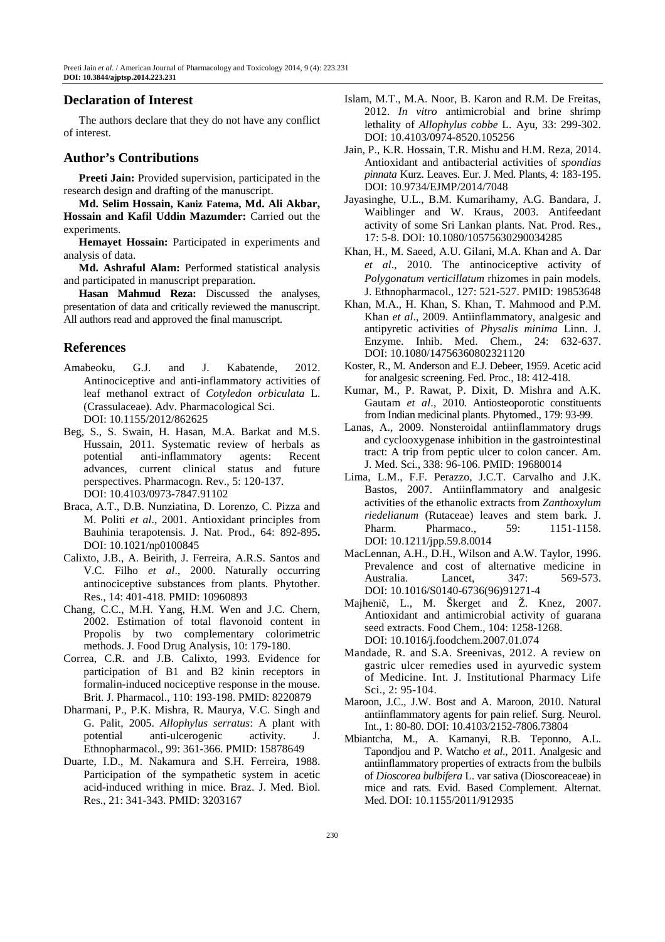# **Declaration of Interest**

The authors declare that they do not have any conflict of interest.

# **Author's Contributions**

**Preeti Jain:** Provided supervision, participated in the research design and drafting of the manuscript.

**Md. Selim Hossain, Kaniz Fatema, Md. Ali Akbar, Hossain and Kafil Uddin Mazumder:** Carried out the experiments

**Hemayet Hossain:** Participated in experiments and analysis of data.

**Md. Ashraful Alam:** Performed statistical analysis and participated in manuscript preparation.

**Hasan Mahmud Reza:** Discussed the analyses, presentation of data and critically reviewed the manuscript. All authors read and approved the final manuscript.

# **References**

- Amabeoku, G.J. and J. Kabatende, 2012. Antinociceptive and anti-inflammatory activities of leaf methanol extract of *Cotyledon orbiculata* L. (Crassulaceae). Adv. Pharmacological Sci. DOI: 10.1155/2012/862625
- Beg, S., S. Swain, H. Hasan, M.A. Barkat and M.S. Hussain, 2011. Systematic review of herbals as potential anti-inflammatory agents: Recent advances, current clinical status and future perspectives. Pharmacogn. Rev., 5: 120-137. DOI: 10.4103/0973-7847.91102
- Braca, A.T., D.B. Nunziatina, D. Lorenzo, C. Pizza and M. Politi *et al*., 2001. Antioxidant principles from Bauhinia terapotensis. J. Nat. Prod., 64: 892-895**.**  DOI: 10.1021/np0100845
- Calixto, J.B., A. Beirith, J. Ferreira, A.R.S. Santos and V.C. Filho *et al*., 2000. Naturally occurring antinociceptive substances from plants. Phytother. Res., 14: 401-418. PMID: 10960893
- Chang, C.C., M.H. Yang, H.M. Wen and J.C. Chern, 2002. Estimation of total flavonoid content in Propolis by two complementary colorimetric methods. J. Food Drug Analysis, 10: 179-180.
- Correa, C.R. and J.B. Calixto, 1993. Evidence for participation of B1 and B2 kinin receptors in formalin-induced nociceptive response in the mouse. Brit. J. Pharmacol., 110: 193-198. PMID: 8220879
- Dharmani, P., P.K. Mishra, R. Maurya, V.C. Singh and G. Palit, 2005. *Allophylus serratus*: A plant with potential anti-ulcerogenic activity. J. Ethnopharmacol., 99: 361-366. PMID: 15878649
- Duarte, I.D., M. Nakamura and S.H. Ferreira, 1988. Participation of the sympathetic system in acetic acid-induced writhing in mice. Braz. J. Med. Biol. Res., 21: 341-343. PMID: 3203167
- Islam, M.T., M.A. Noor, B. Karon and R.M. De Freitas, 2012. *In vitro* antimicrobial and brine shrimp lethality of *Allophylus cobbe* L. Ayu, 33: 299-302. DOI: 10.4103/0974-8520.105256
- Jain, P., K.R. Hossain, T.R. Mishu and H.M. Reza, 2014. Antioxidant and antibacterial activities of *spondias pinnata* Kurz. Leaves. Eur. J. Med. Plants, 4: 183-195. DOI: 10.9734/EJMP/2014/7048
- Jayasinghe, U.L., B.M. Kumarihamy, A.G. Bandara, J. Waiblinger and W. Kraus, 2003. Antifeedant activity of some Sri Lankan plants. Nat. Prod. Res., 17: 5-8. DOI: 10.1080/10575630290034285
- Khan, H., M. Saeed, A.U. Gilani, M.A. Khan and A. Dar *et al*., 2010. The antinociceptive activity of *Polygonatum verticillatum* rhizomes in pain models. J. Ethnopharmacol., 127: 521-527. PMID: 19853648
- Khan, M.A., H. Khan, S. Khan, T. Mahmood and P.M. Khan *et al*., 2009. Antiinflammatory, analgesic and antipyretic activities of *Physalis minima* Linn. J. Enzyme. Inhib. Med. Chem., 24: 632-637. DOI: 10.1080/14756360802321120
- Koster, R., M. Anderson and E.J. Debeer, 1959. Acetic acid for analgesic screening. Fed. Proc., 18: 412-418.
- Kumar, M., P. Rawat, P. Dixit, D. Mishra and A.K. Gautam *et al*., 2010. Antiosteoporotic constituents from Indian medicinal plants. Phytomed., 179: 93-99.
- Lanas, A., 2009. Nonsteroidal antiinflammatory drugs and cyclooxygenase inhibition in the gastrointestinal tract: A trip from peptic ulcer to colon cancer. Am. J. Med. Sci., 338: 96-106. PMID: 19680014
- Lima, L.M., F.F. Perazzo, J.C.T. Carvalho and J.K. Bastos, 2007. Antiinflammatory and analgesic activities of the ethanolic extracts from *Zanthoxylum riedelianum* (Rutaceae) leaves and stem bark. J. Pharm. Pharmaco.. 59: 1151-1158. DOI: 10.1211/jpp.59.8.0014
- MacLennan, A.H., D.H., Wilson and A.W. Taylor, 1996. Prevalence and cost of alternative medicine in Australia. Lancet, 347: 569-573. DOI: 10.1016/S0140-6736(96)91271-4
- Majhenič, L., M. Škerget and Ž. Knez, 2007. Antioxidant and antimicrobial activity of guarana seed extracts. Food Chem., 104: 1258-1268. DOI: 10.1016/j.foodchem.2007.01.074
- Mandade, R. and S.A. Sreenivas, 2012. A review on gastric ulcer remedies used in ayurvedic system of Medicine. Int. J. Institutional Pharmacy Life Sci., 2: 95-104.
- Maroon, J.C., J.W. Bost and A. Maroon, 2010. Natural antiinflammatory agents for pain relief. Surg. Neurol. Int., 1: 80-80. DOI: 10.4103/2152-7806.73804
- Mbiantcha, M., A. Kamanyi, R.B. Teponno, A.L. Tapondjou and P. Watcho *et al*., 2011. Analgesic and antiinflammatory properties of extracts from the bulbils of *Dioscorea bulbifera* L. var sativa (Dioscoreaceae) in mice and rats. Evid. Based Complement. Alternat. Med. DOI: 10.1155/2011/912935